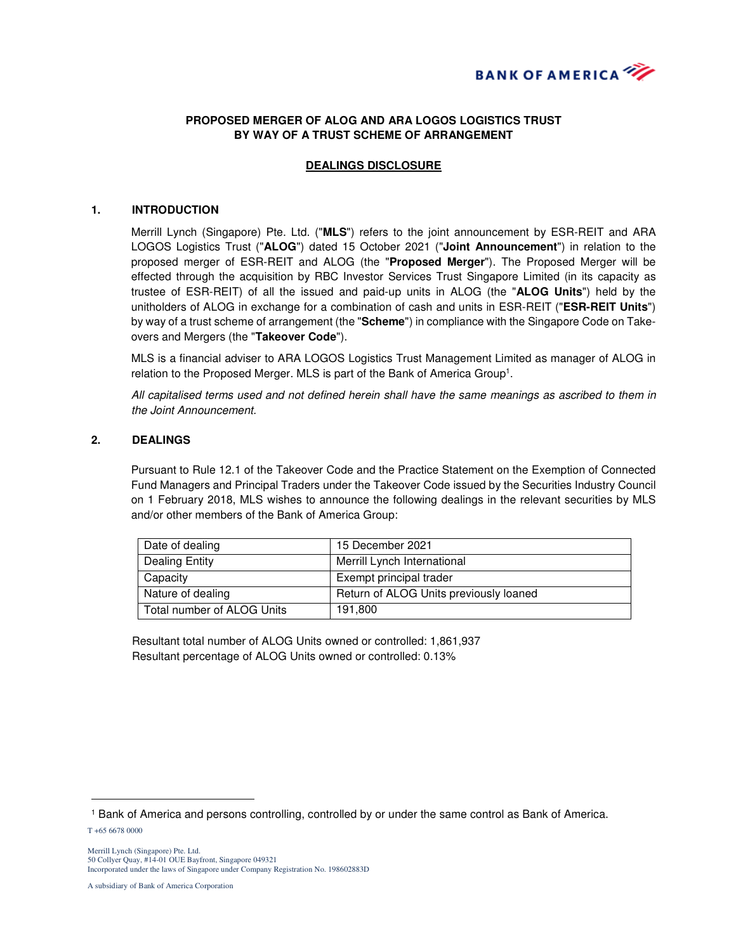

# **PROPOSED MERGER OF ALOG AND ARA LOGOS LOGISTICS TRUST BY WAY OF A TRUST SCHEME OF ARRANGEMENT**

## **DEALINGS DISCLOSURE**

#### **1. INTRODUCTION**

Merrill Lynch (Singapore) Pte. Ltd. ("**MLS**") refers to the joint announcement by ESR-REIT and ARA LOGOS Logistics Trust ("**ALOG**") dated 15 October 2021 ("**Joint Announcement**") in relation to the proposed merger of ESR-REIT and ALOG (the "**Proposed Merger**"). The Proposed Merger will be effected through the acquisition by RBC Investor Services Trust Singapore Limited (in its capacity as trustee of ESR-REIT) of all the issued and paid-up units in ALOG (the "**ALOG Units**") held by the unitholders of ALOG in exchange for a combination of cash and units in ESR-REIT ("**ESR-REIT Units**") by way of a trust scheme of arrangement (the "**Scheme**") in compliance with the Singapore Code on Takeovers and Mergers (the "**Takeover Code**").

MLS is a financial adviser to ARA LOGOS Logistics Trust Management Limited as manager of ALOG in relation to the Proposed Merger. MLS is part of the Bank of America Group<sup>1</sup>.

All capitalised terms used and not defined herein shall have the same meanings as ascribed to them in the Joint Announcement.

### **2. DEALINGS**

Pursuant to Rule 12.1 of the Takeover Code and the Practice Statement on the Exemption of Connected Fund Managers and Principal Traders under the Takeover Code issued by the Securities Industry Council on 1 February 2018, MLS wishes to announce the following dealings in the relevant securities by MLS and/or other members of the Bank of America Group:

| Date of dealing              | 15 December 2021                       |
|------------------------------|----------------------------------------|
| Dealing Entity               | Merrill Lynch International            |
| Capacity                     | Exempt principal trader                |
| Nature of dealing            | Return of ALOG Units previously loaned |
| l Total number of ALOG Units | 191.800                                |

Resultant total number of ALOG Units owned or controlled: 1,861,937 Resultant percentage of ALOG Units owned or controlled: 0.13%

 $\overline{a}$ 

<sup>1</sup> Bank of America and persons controlling, controlled by or under the same control as Bank of America.

T +65 6678 0000